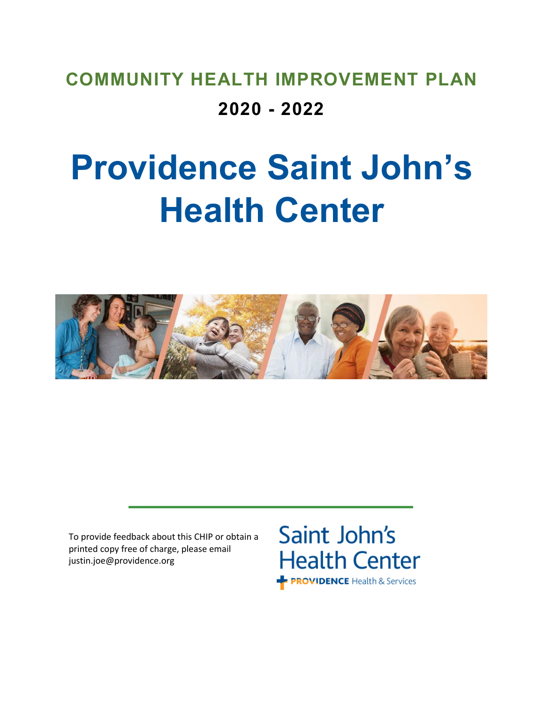# **COMMUNITY HEALTH IMPROVEMENT PLAN 2020 - 2022**

# **Providence Saint John's Health Center**



To provide feedback about this CHIP or obtain a printed copy free of charge, please email justin.joe@providence.org

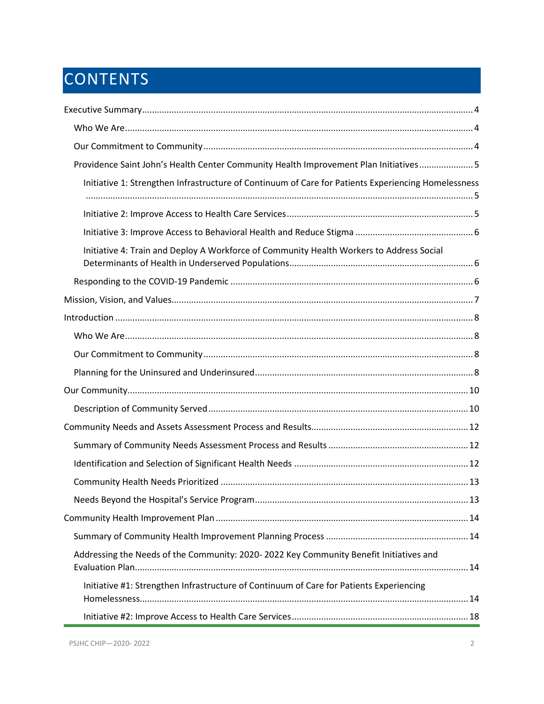# **CONTENTS**

| Providence Saint John's Health Center Community Health Improvement Plan Initiatives 5               |  |
|-----------------------------------------------------------------------------------------------------|--|
| Initiative 1: Strengthen Infrastructure of Continuum of Care for Patients Experiencing Homelessness |  |
|                                                                                                     |  |
|                                                                                                     |  |
|                                                                                                     |  |
| Initiative 4: Train and Deploy A Workforce of Community Health Workers to Address Social            |  |
|                                                                                                     |  |
|                                                                                                     |  |
|                                                                                                     |  |
|                                                                                                     |  |
|                                                                                                     |  |
|                                                                                                     |  |
|                                                                                                     |  |
|                                                                                                     |  |
|                                                                                                     |  |
|                                                                                                     |  |
|                                                                                                     |  |
|                                                                                                     |  |
|                                                                                                     |  |
|                                                                                                     |  |
|                                                                                                     |  |
| Addressing the Needs of the Community: 2020-2022 Key Community Benefit Initiatives and              |  |
| Initiative #1: Strengthen Infrastructure of Continuum of Care for Patients Experiencing             |  |
|                                                                                                     |  |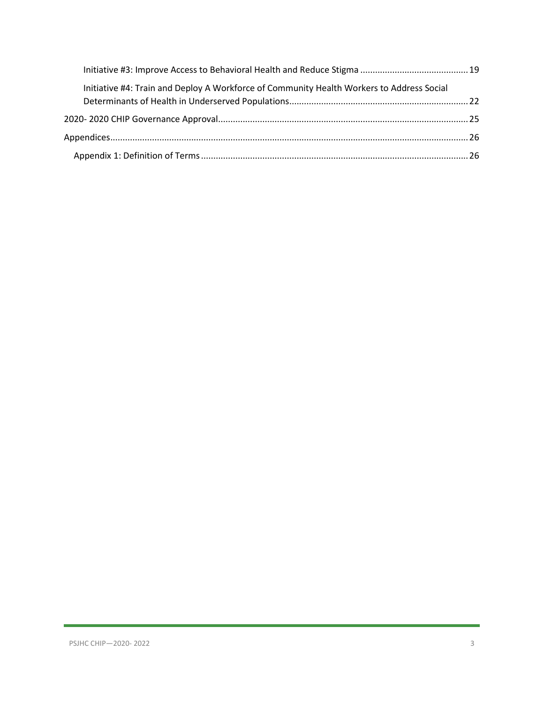| Initiative #4: Train and Deploy A Workforce of Community Health Workers to Address Social |  |
|-------------------------------------------------------------------------------------------|--|
|                                                                                           |  |
|                                                                                           |  |
|                                                                                           |  |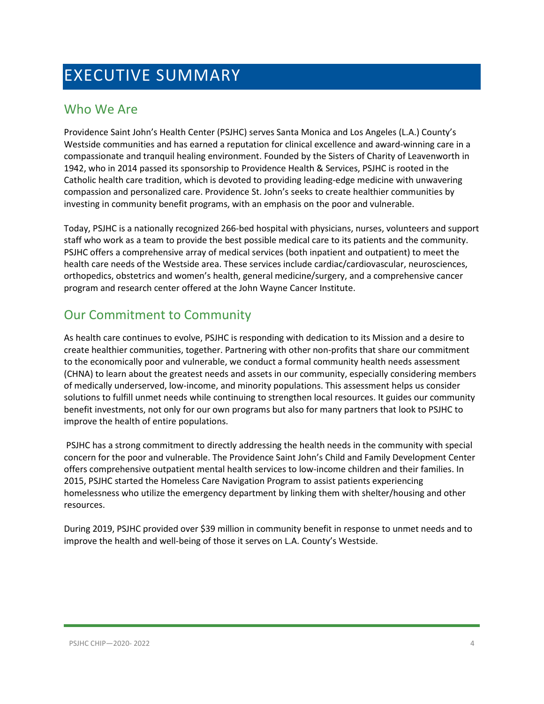# <span id="page-3-0"></span>EXECUTIVE SUMMARY

### <span id="page-3-1"></span>Who We Are

Providence Saint John's Health Center (PSJHC) serves Santa Monica and Los Angeles (L.A.) County's Westside communities and has earned a reputation for clinical excellence and award-winning care in a compassionate and tranquil healing environment. Founded by the Sisters of Charity of Leavenworth in 1942, who in 2014 passed its sponsorship to Providence Health & Services, PSJHC is rooted in the Catholic health care tradition, which is devoted to providing leading-edge medicine with unwavering compassion and personalized care. Providence St. John's seeks to create healthier communities by investing in community benefit programs, with an emphasis on the poor and vulnerable.

Today, PSJHC is a nationally recognized 266-bed hospital with physicians, nurses, volunteers and support staff who work as a team to provide the best possible medical care to its patients and the community. PSJHC offers a comprehensive array of medical services (both inpatient and outpatient) to meet the health care needs of the Westside area. These services include cardiac/cardiovascular, neurosciences, orthopedics, obstetrics and women's health, general medicine/surgery, and a comprehensive cancer program and research center offered at the John Wayne Cancer Institute.

### <span id="page-3-2"></span>Our Commitment to Community

As health care continues to evolve, PSJHC is responding with dedication to its Mission and a desire to create healthier communities, together. Partnering with other non-profits that share our commitment to the economically poor and vulnerable, we conduct a formal community health needs assessment (CHNA) to learn about the greatest needs and assets in our community, especially considering members of medically underserved, low-income, and minority populations. This assessment helps us consider solutions to fulfill unmet needs while continuing to strengthen local resources. It guides our community benefit investments, not only for our own programs but also for many partners that look to PSJHC to improve the health of entire populations.

PSJHC has a strong commitment to directly addressing the health needs in the community with special concern for the poor and vulnerable. The Providence Saint John's Child and Family Development Center offers comprehensive outpatient mental health services to low-income children and their families. In 2015, PSJHC started the Homeless Care Navigation Program to assist patients experiencing homelessness who utilize the emergency department by linking them with shelter/housing and other resources.

During 2019, PSJHC provided over \$39 million in community benefit in response to unmet needs and to improve the health and well-being of those it serves on L.A. County's Westside.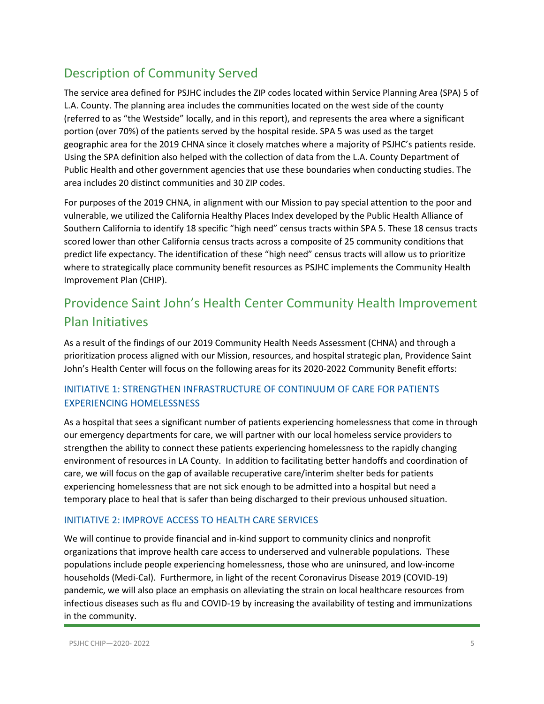### Description of Community Served

The service area defined for PSJHC includes the ZIP codes located within Service Planning Area (SPA) 5 of L.A. County. The planning area includes the communities located on the west side of the county (referred to as "the Westside" locally, and in this report), and represents the area where a significant portion (over 70%) of the patients served by the hospital reside. SPA 5 was used as the target geographic area for the 2019 CHNA since it closely matches where a majority of PSJHC's patients reside. Using the SPA definition also helped with the collection of data from the L.A. County Department of Public Health and other government agencies that use these boundaries when conducting studies. The area includes 20 distinct communities and 30 ZIP codes.

For purposes of the 2019 CHNA, in alignment with our Mission to pay special attention to the poor and vulnerable, we utilized the California Healthy Places Index developed by the Public Health Alliance of Southern California to identify 18 specific "high need" census tracts within SPA 5. These 18 census tracts scored lower than other California census tracts across a composite of 25 community conditions that predict life expectancy. The identification of these "high need" census tracts will allow us to prioritize where to strategically place community benefit resources as PSJHC implements the Community Health Improvement Plan (CHIP).

### <span id="page-4-0"></span>Providence Saint John's Health Center Community Health Improvement Plan Initiatives

As a result of the findings of our 2019 Community Health Needs Assessment (CHNA) and through a prioritization process aligned with our Mission, resources, and hospital strategic plan, Providence Saint John's Health Center will focus on the following areas for its 2020-2022 Community Benefit efforts:

#### <span id="page-4-1"></span>INITIATIVE 1: STRENGTHEN INFRASTRUCTURE OF CONTINUUM OF CARE FOR PATIENTS EXPERIENCING HOMELESSNESS

As a hospital that sees a significant number of patients experiencing homelessness that come in through our emergency departments for care, we will partner with our local homeless service providers to strengthen the ability to connect these patients experiencing homelessness to the rapidly changing environment of resources in LA County. In addition to facilitating better handoffs and coordination of care, we will focus on the gap of available recuperative care/interim shelter beds for patients experiencing homelessness that are not sick enough to be admitted into a hospital but need a temporary place to heal that is safer than being discharged to their previous unhoused situation.

#### <span id="page-4-2"></span>INITIATIVE 2: IMPROVE ACCESS TO HEALTH CARE SERVICES

We will continue to provide financial and in-kind support to community clinics and nonprofit organizations that improve health care access to underserved and vulnerable populations. These populations include people experiencing homelessness, those who are uninsured, and low-income households (Medi-Cal). Furthermore, in light of the recent Coronavirus Disease 2019 (COVID-19) pandemic, we will also place an emphasis on alleviating the strain on local healthcare resources from infectious diseases such as flu and COVID-19 by increasing the availability of testing and immunizations in the community.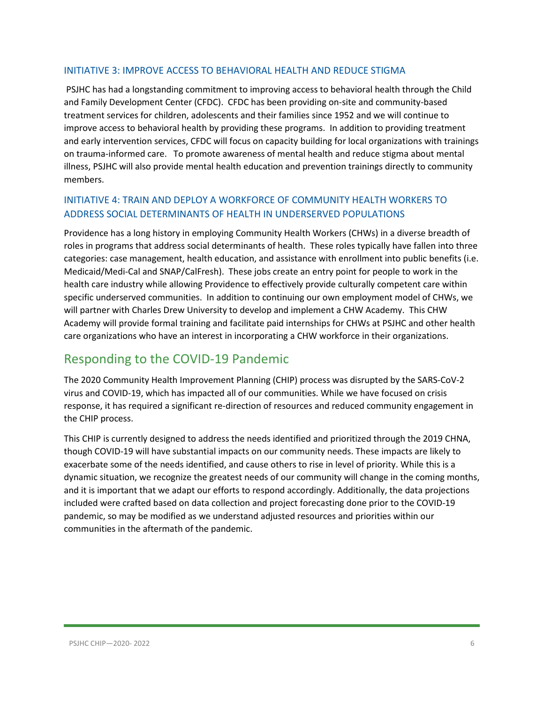#### <span id="page-5-0"></span>INITIATIVE 3: IMPROVE ACCESS TO BEHAVIORAL HEALTH AND REDUCE STIGMA

PSJHC has had a longstanding commitment to improving access to behavioral health through the Child and Family Development Center (CFDC). CFDC has been providing on-site and community-based treatment services for children, adolescents and their families since 1952 and we will continue to improve access to behavioral health by providing these programs. In addition to providing treatment and early intervention services, CFDC will focus on capacity building for local organizations with trainings on trauma-informed care. To promote awareness of mental health and reduce stigma about mental illness, PSJHC will also provide mental health education and prevention trainings directly to community members.

#### <span id="page-5-1"></span>INITIATIVE 4: TRAIN AND DEPLOY A WORKFORCE OF COMMUNITY HEALTH WORKERS TO ADDRESS SOCIAL DETERMINANTS OF HEALTH IN UNDERSERVED POPULATIONS

Providence has a long history in employing Community Health Workers (CHWs) in a diverse breadth of roles in programs that address social determinants of health. These roles typically have fallen into three categories: case management, health education, and assistance with enrollment into public benefits (i.e. Medicaid/Medi-Cal and SNAP/CalFresh). These jobs create an entry point for people to work in the health care industry while allowing Providence to effectively provide culturally competent care within specific underserved communities. In addition to continuing our own employment model of CHWs, we will partner with Charles Drew University to develop and implement a CHW Academy. This CHW Academy will provide formal training and facilitate paid internships for CHWs at PSJHC and other health care organizations who have an interest in incorporating a CHW workforce in their organizations.

### <span id="page-5-2"></span>Responding to the COVID-19 Pandemic

The 2020 Community Health Improvement Planning (CHIP) process was disrupted by the SARS-CoV-2 virus and COVID-19, which has impacted all of our communities. While we have focused on crisis response, it has required a significant re-direction of resources and reduced community engagement in the CHIP process.

This CHIP is currently designed to address the needs identified and prioritized through the 2019 CHNA, though COVID-19 will have substantial impacts on our community needs. These impacts are likely to exacerbate some of the needs identified, and cause others to rise in level of priority. While this is a dynamic situation, we recognize the greatest needs of our community will change in the coming months, and it is important that we adapt our efforts to respond accordingly. Additionally, the data projections included were crafted based on data collection and project forecasting done prior to the COVID-19 pandemic, so may be modified as we understand adjusted resources and priorities within our communities in the aftermath of the pandemic.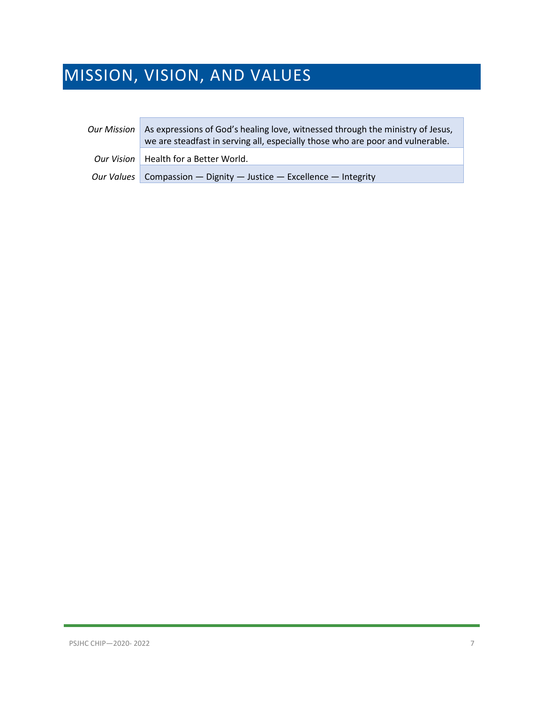# <span id="page-6-0"></span>MISSION, VISION, AND VALUES

| Our Mission | As expressions of God's healing love, witnessed through the ministry of Jesus,<br>we are steadfast in serving all, especially those who are poor and vulnerable. |
|-------------|------------------------------------------------------------------------------------------------------------------------------------------------------------------|
|             | Our Vision   Health for a Better World.                                                                                                                          |
|             | Our Values Compassion - Dignity - Justice - Excellence - Integrity                                                                                               |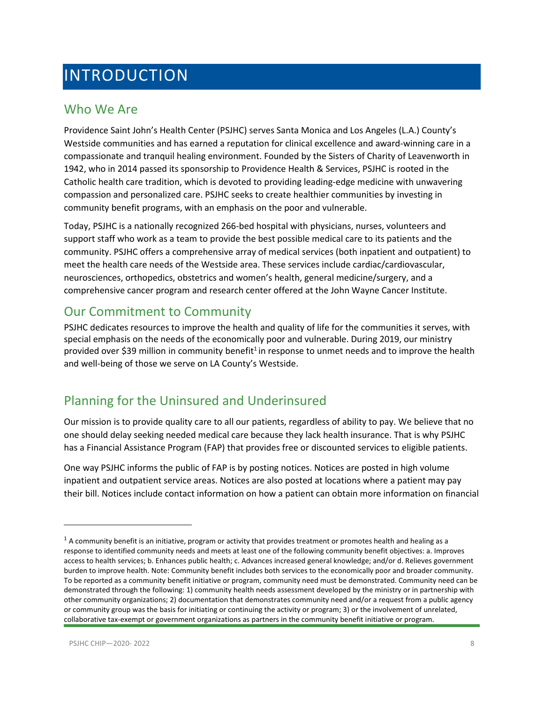# <span id="page-7-0"></span>INTRODUCTION

### <span id="page-7-1"></span>Who We Are

Providence Saint John's Health Center (PSJHC) serves Santa Monica and Los Angeles (L.A.) County's Westside communities and has earned a reputation for clinical excellence and award-winning care in a compassionate and tranquil healing environment. Founded by the Sisters of Charity of Leavenworth in 1942, who in 2014 passed its sponsorship to Providence Health & Services, PSJHC is rooted in the Catholic health care tradition, which is devoted to providing leading-edge medicine with unwavering compassion and personalized care. PSJHC seeks to create healthier communities by investing in community benefit programs, with an emphasis on the poor and vulnerable.

Today, PSJHC is a nationally recognized 266-bed hospital with physicians, nurses, volunteers and support staff who work as a team to provide the best possible medical care to its patients and the community. PSJHC offers a comprehensive array of medical services (both inpatient and outpatient) to meet the health care needs of the Westside area. These services include cardiac/cardiovascular, neurosciences, orthopedics, obstetrics and women's health, general medicine/surgery, and a comprehensive cancer program and research center offered at the John Wayne Cancer Institute.

### <span id="page-7-2"></span>Our Commitment to Community

PSJHC dedicates resources to improve the health and quality of life for the communities it serves, with special emphasis on the needs of the economically poor and vulnerable. During 2019, our ministry provided over \$39 million in community benefit<sup>[1](#page-7-4)</sup> in response to unmet needs and to improve the health and well-being of those we serve on LA County's Westside.

### <span id="page-7-3"></span>Planning for the Uninsured and Underinsured

Our mission is to provide quality care to all our patients, regardless of ability to pay. We believe that no one should delay seeking needed medical care because they lack health insurance. That is why PSJHC has a Financial Assistance Program (FAP) that provides free or discounted services to eligible patients.

One way PSJHC informs the public of FAP is by posting notices. Notices are posted in high volume inpatient and outpatient service areas. Notices are also posted at locations where a patient may pay their bill. Notices include contact information on how a patient can obtain more information on financial

<span id="page-7-4"></span> $1$  A community benefit is an initiative, program or activity that provides treatment or promotes health and healing as a response to identified community needs and meets at least one of the following community benefit objectives: a. Improves access to health services; b. Enhances public health; c. Advances increased general knowledge; and/or d. Relieves government burden to improve health. Note: Community benefit includes both services to the economically poor and broader community. To be reported as a community benefit initiative or program, community need must be demonstrated. Community need can be demonstrated through the following: 1) community health needs assessment developed by the ministry or in partnership with other community organizations; 2) documentation that demonstrates community need and/or a request from a public agency or community group was the basis for initiating or continuing the activity or program; 3) or the involvement of unrelated, collaborative tax-exempt or government organizations as partners in the community benefit initiative or program.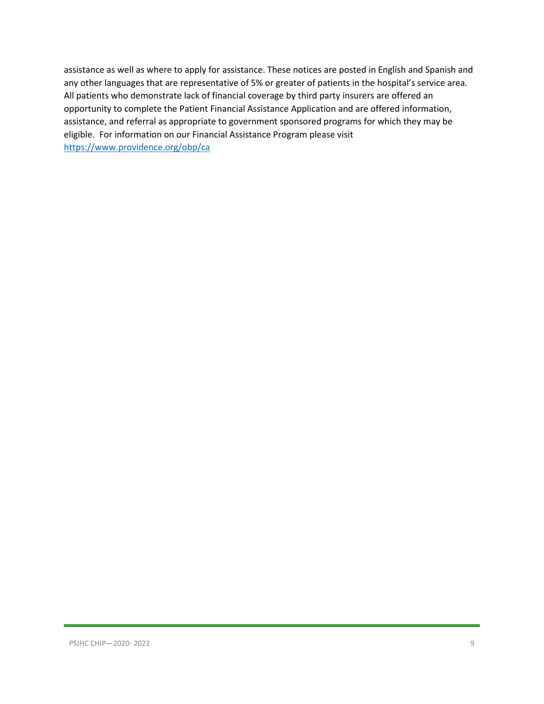assistance as well as where to apply for assistance. These notices are posted in English and Spanish and any other languages that are representative of 5% or greater of patients in the hospital's service area. All patients who demonstrate lack of financial coverage by third party insurers are offered an opportunity to complete the Patient Financial Assistance Application and are offered information, assistance, and referral as appropriate to government sponsored programs for which they may be eligible. For information on our Financial Assistance Program please visit <https://www.providence.org/obp/ca>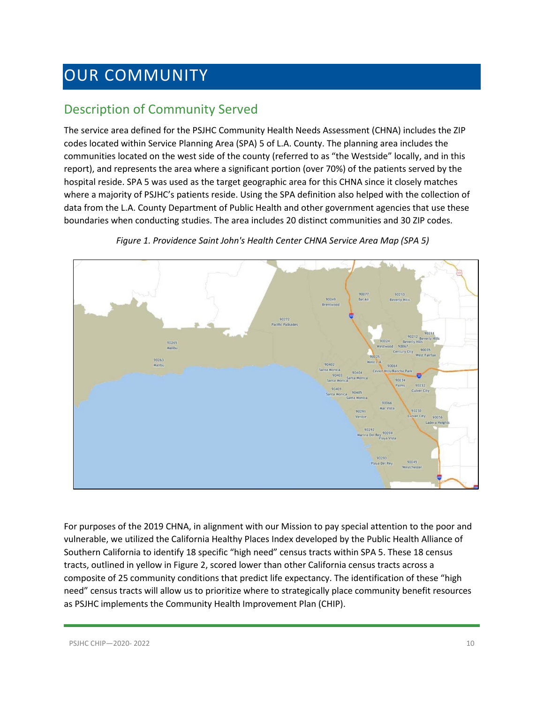# <span id="page-9-0"></span>OUR COMMUNITY

### <span id="page-9-1"></span>Description of Community Served

The service area defined for the PSJHC Community Health Needs Assessment (CHNA) includes the ZIP codes located within Service Planning Area (SPA) 5 of L.A. County. The planning area includes the communities located on the west side of the county (referred to as "the Westside" locally, and in this report), and represents the area where a significant portion (over 70%) of the patients served by the hospital reside. SPA 5 was used as the target geographic area for this CHNA since it closely matches where a majority of PSJHC's patients reside. Using the SPA definition also helped with the collection of data from the L.A. County Department of Public Health and other government agencies that use these boundaries when conducting studies. The area includes 20 distinct communities and 30 ZIP codes.



*Figure 1. Providence Saint John's Health Center CHNA Service Area Map (SPA 5)*

For purposes of the 2019 CHNA, in alignment with our Mission to pay special attention to the poor and vulnerable, we utilized the California Healthy Places Index developed by the Public Health Alliance of Southern California to identify 18 specific "high need" census tracts within SPA 5. These 18 census tracts, outlined in yellow in Figure 2, scored lower than other California census tracts across a composite of 25 community conditions that predict life expectancy. The identification of these "high need" census tracts will allow us to prioritize where to strategically place community benefit resources as PSJHC implements the Community Health Improvement Plan (CHIP).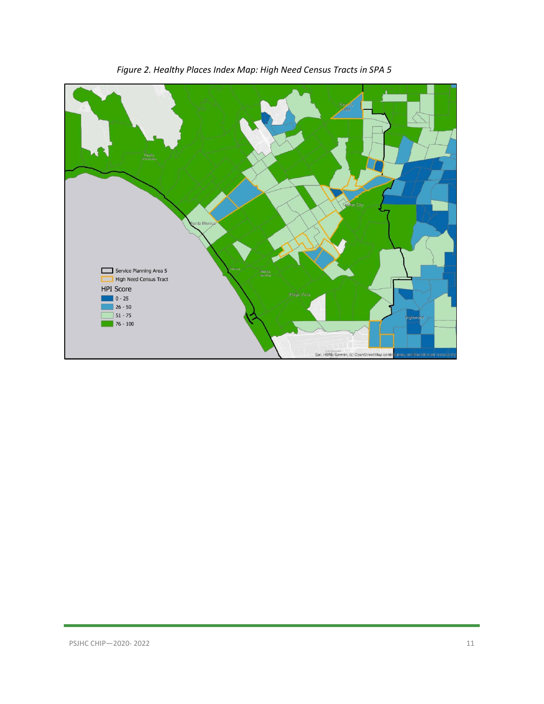

*Figure 2. Healthy Places Index Map: High Need Census Tracts in SPA 5*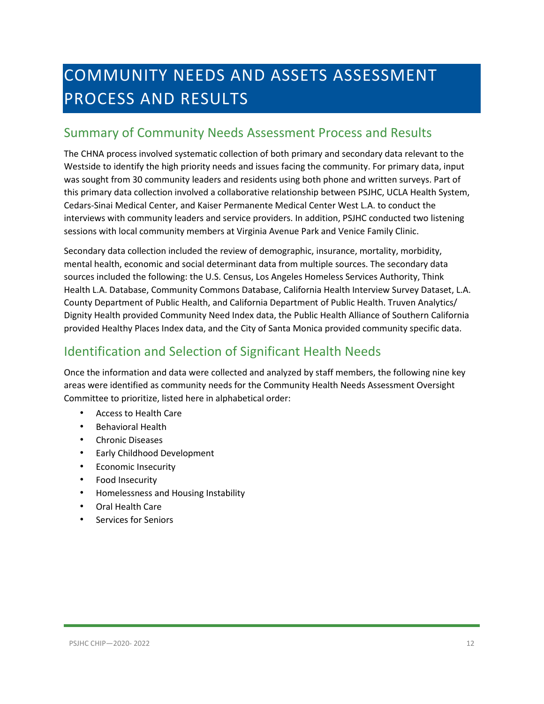# <span id="page-11-0"></span>COMMUNITY NEEDS AND ASSETS ASSESSMENT PROCESS AND RESULTS

### <span id="page-11-1"></span>Summary of Community Needs Assessment Process and Results

The CHNA process involved systematic collection of both primary and secondary data relevant to the Westside to identify the high priority needs and issues facing the community. For primary data, input was sought from 30 community leaders and residents using both phone and written surveys. Part of this primary data collection involved a collaborative relationship between PSJHC, UCLA Health System, Cedars-Sinai Medical Center, and Kaiser Permanente Medical Center West L.A. to conduct the interviews with community leaders and service providers. In addition, PSJHC conducted two listening sessions with local community members at Virginia Avenue Park and Venice Family Clinic.

Secondary data collection included the review of demographic, insurance, mortality, morbidity, mental health, economic and social determinant data from multiple sources. The secondary data sources included the following: the U.S. Census, Los Angeles Homeless Services Authority, Think Health L.A. Database, Community Commons Database, California Health Interview Survey Dataset, L.A. County Department of Public Health, and California Department of Public Health. Truven Analytics/ Dignity Health provided Community Need Index data, the Public Health Alliance of Southern California provided Healthy Places Index data, and the City of Santa Monica provided community specific data.

### <span id="page-11-2"></span>Identification and Selection of Significant Health Needs

Once the information and data were collected and analyzed by staff members, the following nine key areas were identified as community needs for the Community Health Needs Assessment Oversight Committee to prioritize, listed here in alphabetical order:

- Access to Health Care
- Behavioral Health
- Chronic Diseases
- Early Childhood Development
- Economic Insecurity
- Food Insecurity
- Homelessness and Housing Instability
- Oral Health Care
- Services for Seniors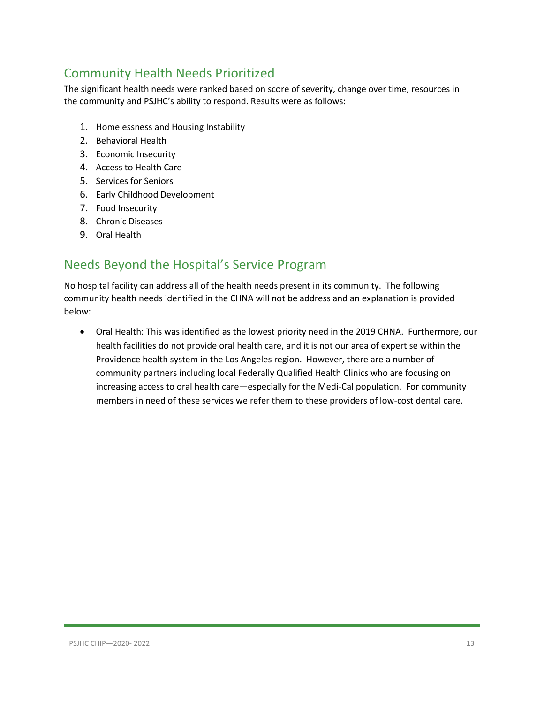### <span id="page-12-0"></span>Community Health Needs Prioritized

The significant health needs were ranked based on score of severity, change over time, resources in the community and PSJHC's ability to respond. Results were as follows:

- 1. Homelessness and Housing Instability
- 2. Behavioral Health
- 3. Economic Insecurity
- 4. Access to Health Care
- 5. Services for Seniors
- 6. Early Childhood Development
- 7. Food Insecurity
- 8. Chronic Diseases
- 9. Oral Health

### <span id="page-12-1"></span>Needs Beyond the Hospital's Service Program

No hospital facility can address all of the health needs present in its community. The following community health needs identified in the CHNA will not be address and an explanation is provided below:

• Oral Health: This was identified as the lowest priority need in the 2019 CHNA. Furthermore, our health facilities do not provide oral health care, and it is not our area of expertise within the Providence health system in the Los Angeles region. However, there are a number of community partners including local Federally Qualified Health Clinics who are focusing on increasing access to oral health care—especially for the Medi-Cal population. For community members in need of these services we refer them to these providers of low-cost dental care.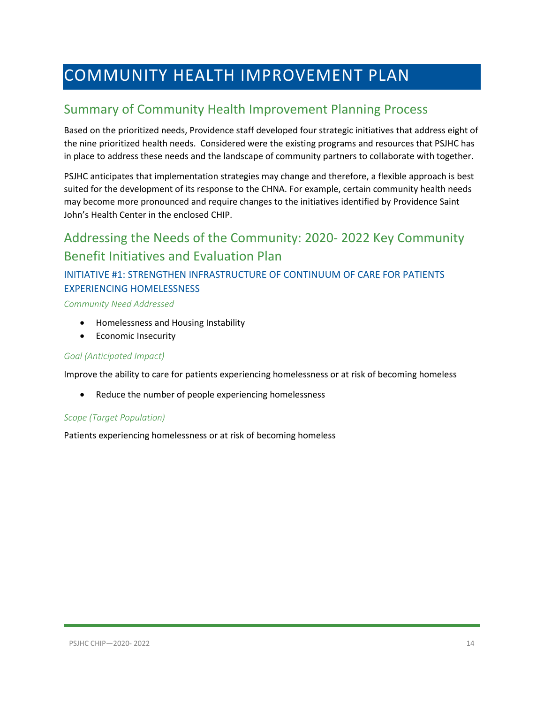# <span id="page-13-0"></span>COMMUNITY HEALTH IMPROVEMENT PLAN

### <span id="page-13-1"></span>Summary of Community Health Improvement Planning Process

Based on the prioritized needs, Providence staff developed four strategic initiatives that address eight of the nine prioritized health needs. Considered were the existing programs and resources that PSJHC has in place to address these needs and the landscape of community partners to collaborate with together.

PSJHC anticipates that implementation strategies may change and therefore, a flexible approach is best suited for the development of its response to the CHNA. For example, certain community health needs may become more pronounced and require changes to the initiatives identified by Providence Saint John's Health Center in the enclosed CHIP.

### <span id="page-13-2"></span>Addressing the Needs of the Community: 2020- 2022 Key Community Benefit Initiatives and Evaluation Plan

### <span id="page-13-3"></span>INITIATIVE #1: STRENGTHEN INFRASTRUCTURE OF CONTINUUM OF CARE FOR PATIENTS EXPERIENCING HOMELESSNESS

#### *Community Need Addressed*

- Homelessness and Housing Instability
- Economic Insecurity

#### *Goal (Anticipated Impact)*

Improve the ability to care for patients experiencing homelessness or at risk of becoming homeless

• Reduce the number of people experiencing homelessness

#### *Scope (Target Population)*

Patients experiencing homelessness or at risk of becoming homeless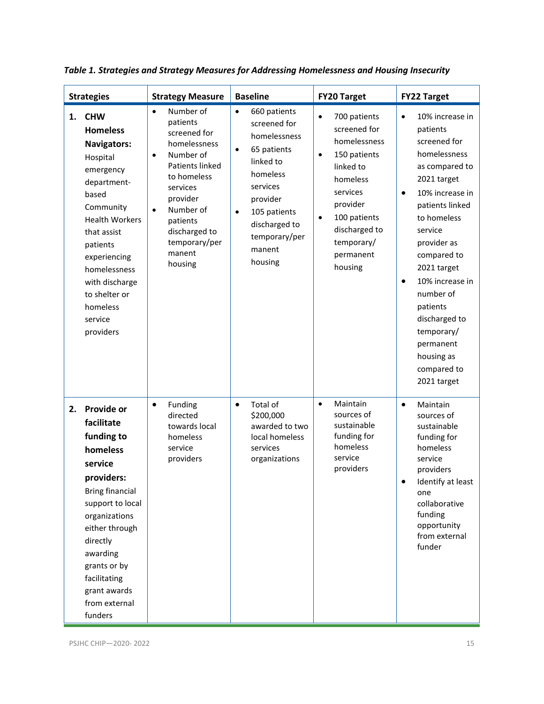| <b>Strategies</b> |                                                                                                                                                                                                                                                                              | <b>Strategy Measure</b>                                                                                                                                                                                                                             | <b>Baseline</b>                                                                                                                                                                                                            | <b>FY20 Target</b>                                                                                                                                                                                                          | <b>FY22 Target</b>                                                                                                                                                                                                                                                                                                                                                                   |
|-------------------|------------------------------------------------------------------------------------------------------------------------------------------------------------------------------------------------------------------------------------------------------------------------------|-----------------------------------------------------------------------------------------------------------------------------------------------------------------------------------------------------------------------------------------------------|----------------------------------------------------------------------------------------------------------------------------------------------------------------------------------------------------------------------------|-----------------------------------------------------------------------------------------------------------------------------------------------------------------------------------------------------------------------------|--------------------------------------------------------------------------------------------------------------------------------------------------------------------------------------------------------------------------------------------------------------------------------------------------------------------------------------------------------------------------------------|
| 1.                | <b>CHW</b><br><b>Homeless</b><br><b>Navigators:</b><br>Hospital<br>emergency<br>department-<br>based<br>Community<br><b>Health Workers</b><br>that assist<br>patients<br>experiencing<br>homelessness<br>with discharge<br>to shelter or<br>homeless<br>service<br>providers | Number of<br>$\bullet$<br>patients<br>screened for<br>homelessness<br>Number of<br>$\bullet$<br>Patients linked<br>to homeless<br>services<br>provider<br>Number of<br>$\bullet$<br>patients<br>discharged to<br>temporary/per<br>manent<br>housing | 660 patients<br>$\bullet$<br>screened for<br>homelessness<br>65 patients<br>$\bullet$<br>linked to<br>homeless<br>services<br>provider<br>105 patients<br>$\bullet$<br>discharged to<br>temporary/per<br>manent<br>housing | 700 patients<br>$\bullet$<br>screened for<br>homelessness<br>150 patients<br>$\bullet$<br>linked to<br>homeless<br>services<br>provider<br>100 patients<br>$\bullet$<br>discharged to<br>temporary/<br>permanent<br>housing | 10% increase in<br>$\bullet$<br>patients<br>screened for<br>homelessness<br>as compared to<br>2021 target<br>10% increase in<br>$\bullet$<br>patients linked<br>to homeless<br>service<br>provider as<br>compared to<br>2021 target<br>10% increase in<br>$\bullet$<br>number of<br>patients<br>discharged to<br>temporary/<br>permanent<br>housing as<br>compared to<br>2021 target |
| 2.                | <b>Provide or</b><br>facilitate<br>funding to<br>homeless<br>service<br>providers:<br><b>Bring financial</b><br>support to local<br>organizations<br>either through<br>directly<br>awarding<br>grants or by<br>facilitating<br>grant awards<br>from external<br>funders      | Funding<br>$\bullet$<br>directed<br>towards local<br>homeless<br>service<br>providers                                                                                                                                                               | Total of<br>$\bullet$<br>\$200,000<br>awarded to two<br>local homeless<br>services<br>organizations                                                                                                                        | Maintain<br>$\bullet$<br>sources of<br>sustainable<br>funding for<br>homeless<br>service<br>providers                                                                                                                       | Maintain<br>$\bullet$<br>sources of<br>sustainable<br>funding for<br>homeless<br>service<br>providers<br>Identify at least<br>one<br>collaborative<br>funding<br>opportunity<br>from external<br>funder                                                                                                                                                                              |

*Table 1. Strategies and Strategy Measures for Addressing Homelessness and Housing Insecurity*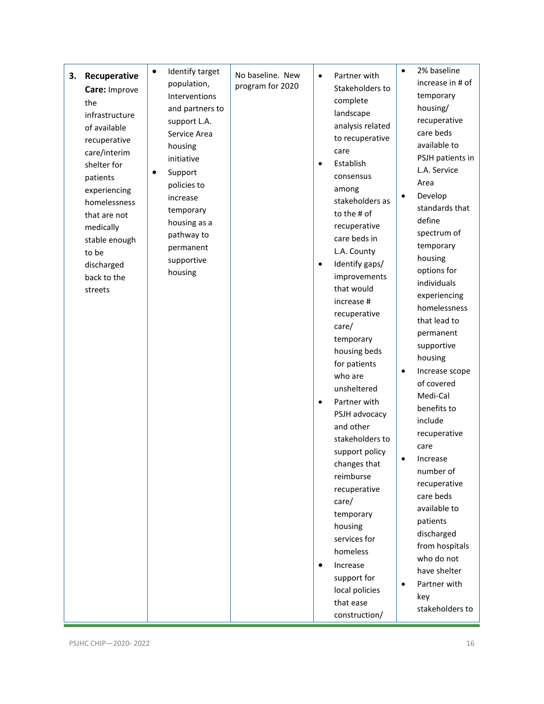| Recuperative<br>3.<br>Care: Improve<br>the<br>infrastructure<br>of available<br>recuperative<br>care/interim<br>shelter for<br>patients<br>experiencing<br>homelessness<br>that are not<br>medically<br>stable enough<br>to be<br>discharged<br>back to the<br>streets | Identify target<br>٠<br>population,<br>Interventions<br>and partners to<br>support L.A.<br>Service Area<br>housing<br>initiative<br>Support<br>policies to<br>increase<br>temporary<br>housing as a<br>pathway to<br>permanent<br>supportive<br>housing | No baseline. New<br>program for 2020 | Partner with<br>$\bullet$<br>Stakeholders to<br>complete<br>landscape<br>analysis related<br>to recuperative<br>care<br>Establish<br>$\bullet$<br>consensus<br>among<br>stakeholders as<br>to the # of<br>recuperative<br>care beds in<br>L.A. County<br>Identify gaps/<br>$\bullet$<br>improvements<br>that would<br>increase #<br>recuperative<br>care/<br>temporary<br>housing beds<br>for patients<br>who are<br>unsheltered<br>Partner with<br>$\bullet$<br>PSJH advocacy<br>and other<br>stakeholders to<br>support policy<br>changes that<br>reimburse<br>recuperative<br>care/<br>temporary<br>housing<br>services for<br>homeless<br>Increase<br>$\bullet$ | 2% baseline<br>increase in # of<br>temporary<br>housing/<br>recuperative<br>care beds<br>available to<br>PSJH patients in<br>L.A. Service<br>Area<br>Develop<br>standards that<br>define<br>spectrum of<br>temporary<br>housing<br>options for<br>individuals<br>experiencing<br>homelessness<br>that lead to<br>permanent<br>supportive<br>housing<br>Increase scope<br>٠<br>of covered<br>Medi-Cal<br>benefits to<br>include<br>recuperative<br>care<br>Increase<br>number of<br>recuperative<br>care beds<br>available to<br>patients<br>discharged<br>from hospitals<br>who do not<br>have shelter |
|------------------------------------------------------------------------------------------------------------------------------------------------------------------------------------------------------------------------------------------------------------------------|---------------------------------------------------------------------------------------------------------------------------------------------------------------------------------------------------------------------------------------------------------|--------------------------------------|---------------------------------------------------------------------------------------------------------------------------------------------------------------------------------------------------------------------------------------------------------------------------------------------------------------------------------------------------------------------------------------------------------------------------------------------------------------------------------------------------------------------------------------------------------------------------------------------------------------------------------------------------------------------|--------------------------------------------------------------------------------------------------------------------------------------------------------------------------------------------------------------------------------------------------------------------------------------------------------------------------------------------------------------------------------------------------------------------------------------------------------------------------------------------------------------------------------------------------------------------------------------------------------|
|                                                                                                                                                                                                                                                                        |                                                                                                                                                                                                                                                         |                                      | support for<br>local policies<br>that ease<br>construction/                                                                                                                                                                                                                                                                                                                                                                                                                                                                                                                                                                                                         | Partner with<br>$\bullet$<br>key<br>stakeholders to                                                                                                                                                                                                                                                                                                                                                                                                                                                                                                                                                    |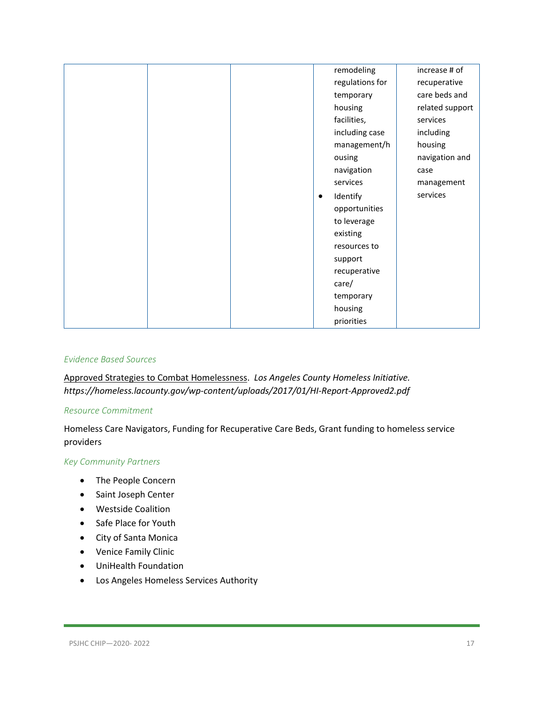| remodeling      | increase # of   |
|-----------------|-----------------|
| regulations for | recuperative    |
| temporary       | care beds and   |
| housing         | related support |
| facilities,     | services        |
| including case  | including       |
| management/h    | housing         |
| ousing          | navigation and  |
| navigation      | case            |
| services        | management      |
| Identify<br>٠   | services        |
| opportunities   |                 |
| to leverage     |                 |
| existing        |                 |
| resources to    |                 |
| support         |                 |
| recuperative    |                 |
| care/           |                 |
| temporary       |                 |
| housing         |                 |
| priorities      |                 |

#### *Evidence Based Sources*

Approved Strategies to Combat Homelessness. *Los Angeles County Homeless Initiative. https://homeless.lacounty.gov/wp-content/uploads/2017/01/HI-Report-Approved2.pdf*

#### *Resource Commitment*

Homeless Care Navigators, Funding for Recuperative Care Beds, Grant funding to homeless service providers

#### *Key Community Partners*

- The People Concern
- Saint Joseph Center
- Westside Coalition
- Safe Place for Youth
- City of Santa Monica
- Venice Family Clinic
- UniHealth Foundation
- Los Angeles Homeless Services Authority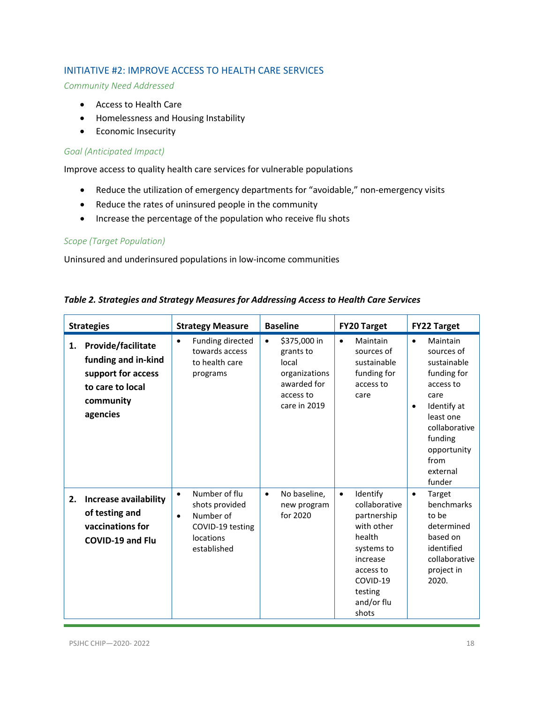#### <span id="page-17-0"></span>INITIATIVE #2: IMPROVE ACCESS TO HEALTH CARE SERVICES

*Community Need Addressed*

- Access to Health Care
- Homelessness and Housing Instability
- Economic Insecurity

#### *Goal (Anticipated Impact)*

Improve access to quality health care services for vulnerable populations

- Reduce the utilization of emergency departments for "avoidable," non-emergency visits
- Reduce the rates of uninsured people in the community
- Increase the percentage of the population who receive flu shots

#### *Scope (Target Population)*

Uninsured and underinsured populations in low-income communities

| <b>Strategies</b> |                                                                                                              | <b>Strategy Measure</b>                                                                                                | <b>Baseline</b>                                                                                              | <b>FY20 Target</b>                                                                                                                                                 | <b>FY22 Target</b>                                                                                                                                                                                       |
|-------------------|--------------------------------------------------------------------------------------------------------------|------------------------------------------------------------------------------------------------------------------------|--------------------------------------------------------------------------------------------------------------|--------------------------------------------------------------------------------------------------------------------------------------------------------------------|----------------------------------------------------------------------------------------------------------------------------------------------------------------------------------------------------------|
| 1.                | Provide/facilitate<br>funding and in-kind<br>support for access<br>to care to local<br>community<br>agencies | Funding directed<br>$\bullet$<br>towards access<br>to health care<br>programs                                          | \$375,000 in<br>$\bullet$<br>grants to<br>local<br>organizations<br>awarded for<br>access to<br>care in 2019 | Maintain<br>$\bullet$<br>sources of<br>sustainable<br>funding for<br>access to<br>care                                                                             | Maintain<br>$\bullet$<br>sources of<br>sustainable<br>funding for<br>access to<br>care<br>Identify at<br>$\bullet$<br>least one<br>collaborative<br>funding<br>opportunity<br>from<br>external<br>funder |
| 2.                | <b>Increase availability</b><br>of testing and<br>vaccinations for<br><b>COVID-19 and Flu</b>                | Number of flu<br>$\bullet$<br>shots provided<br>Number of<br>$\bullet$<br>COVID-19 testing<br>locations<br>established | No baseline,<br>$\bullet$<br>new program<br>for 2020                                                         | Identify<br>$\bullet$<br>collaborative<br>partnership<br>with other<br>health<br>systems to<br>increase<br>access to<br>COVID-19<br>testing<br>and/or flu<br>shots | Target<br>$\bullet$<br>benchmarks<br>to be<br>determined<br>based on<br>identified<br>collaborative<br>project in<br>2020.                                                                               |

#### *Table 2. Strategies and Strategy Measures for Addressing Access to Health Care Services*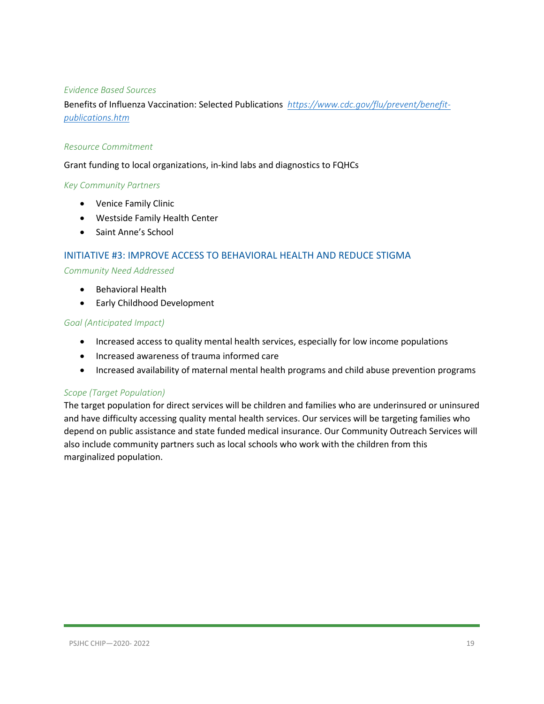#### *Evidence Based Sources*

Benefits of Influenza Vaccination: Selected Publications *[https://www.cdc.gov/flu/prevent/benefit](https://www.cdc.gov/flu/prevent/benefit-publications.htm)[publications.htm](https://www.cdc.gov/flu/prevent/benefit-publications.htm)*

#### *Resource Commitment*

Grant funding to local organizations, in-kind labs and diagnostics to FQHCs

#### *Key Community Partners*

- Venice Family Clinic
- Westside Family Health Center
- Saint Anne's School

#### <span id="page-18-0"></span>INITIATIVE #3: IMPROVE ACCESS TO BEHAVIORAL HEALTH AND REDUCE STIGMA

#### *Community Need Addressed*

- Behavioral Health
- Early Childhood Development

#### *Goal (Anticipated Impact)*

- Increased access to quality mental health services, especially for low income populations
- Increased awareness of trauma informed care
- Increased availability of maternal mental health programs and child abuse prevention programs

#### *Scope (Target Population)*

The target population for direct services will be children and families who are underinsured or uninsured and have difficulty accessing quality mental health services. Our services will be targeting families who depend on public assistance and state funded medical insurance. Our Community Outreach Services will also include community partners such as local schools who work with the children from this marginalized population.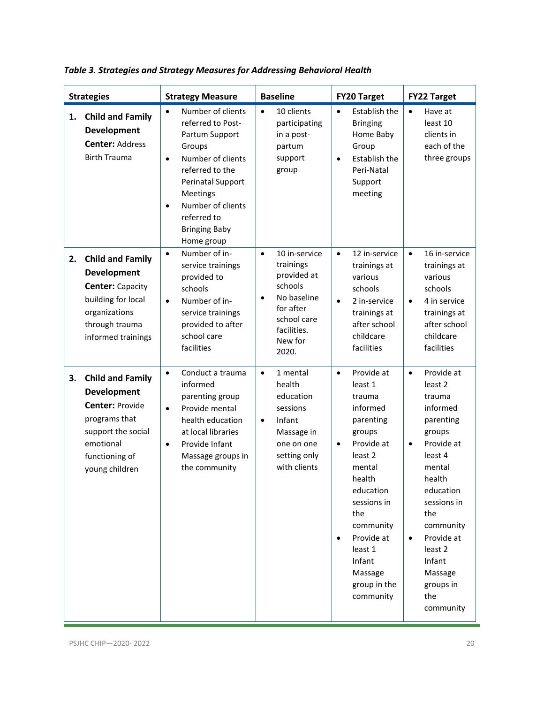|    | <b>Strategies</b>                                                                                                                                        | <b>Strategy Measure</b>                                                                                                                                                                                                                                      | <b>Baseline</b>                                                                                                                                              | <b>FY20 Target</b>                                                                                                                                                                                                                                                   | <b>FY22 Target</b>                                                                                                                                                                                                                                                                               |
|----|----------------------------------------------------------------------------------------------------------------------------------------------------------|--------------------------------------------------------------------------------------------------------------------------------------------------------------------------------------------------------------------------------------------------------------|--------------------------------------------------------------------------------------------------------------------------------------------------------------|----------------------------------------------------------------------------------------------------------------------------------------------------------------------------------------------------------------------------------------------------------------------|--------------------------------------------------------------------------------------------------------------------------------------------------------------------------------------------------------------------------------------------------------------------------------------------------|
| 1. | <b>Child and Family</b><br>Development<br><b>Center: Address</b><br><b>Birth Trauma</b>                                                                  | Number of clients<br>$\bullet$<br>referred to Post-<br>Partum Support<br>Groups<br>Number of clients<br>$\bullet$<br>referred to the<br>Perinatal Support<br>Meetings<br>Number of clients<br>$\bullet$<br>referred to<br><b>Bringing Baby</b><br>Home group | 10 clients<br>$\bullet$<br>participating<br>in a post-<br>partum<br>support<br>group                                                                         | Establish the<br>$\bullet$<br><b>Bringing</b><br>Home Baby<br>Group<br>Establish the<br>$\bullet$<br>Peri-Natal<br>Support<br>meeting                                                                                                                                | Have at<br>$\bullet$<br>least 10<br>clients in<br>each of the<br>three groups                                                                                                                                                                                                                    |
| 2. | <b>Child and Family</b><br>Development<br><b>Center: Capacity</b><br>building for local<br>organizations<br>through trauma<br>informed trainings         | Number of in-<br>$\bullet$<br>service trainings<br>provided to<br>schools<br>Number of in-<br>$\bullet$<br>service trainings<br>provided to after<br>school care<br>facilities                                                                               | 10 in-service<br>$\bullet$<br>trainings<br>provided at<br>schools<br>No baseline<br>$\bullet$<br>for after<br>school care<br>facilities.<br>New for<br>2020. | 12 in-service<br>$\bullet$<br>trainings at<br>various<br>schools<br>2 in-service<br>$\bullet$<br>trainings at<br>after school<br>childcare<br>facilities                                                                                                             | 16 in-service<br>$\bullet$<br>trainings at<br>various<br>schools<br>4 in service<br>$\bullet$<br>trainings at<br>after school<br>childcare<br>facilities                                                                                                                                         |
| 3. | <b>Child and Family</b><br>Development<br><b>Center: Provide</b><br>programs that<br>support the social<br>emotional<br>functioning of<br>young children | Conduct a trauma<br>$\bullet$<br>informed<br>parenting group<br>Provide mental<br>$\bullet$<br>health education<br>at local libraries<br>Provide Infant<br>$\bullet$<br>Massage groups in<br>the community                                                   | 1 mental<br>$\bullet$<br>health<br>education<br>sessions<br>Infant<br>$\bullet$<br>Massage in<br>one on one<br>setting only<br>with clients                  | Provide at<br>$\bullet$<br>least 1<br>trauma<br>informed<br>parenting<br>groups<br>Provide at<br>$\bullet$<br>least 2<br>mental<br>health<br>education<br>sessions in<br>the<br>community<br>Provide at<br>least 1<br>Infant<br>Massage<br>group in the<br>community | Provide at<br>$\bullet$<br>least <sub>2</sub><br>trauma<br>informed<br>parenting<br>groups<br>Provide at<br>$\bullet$<br>least 4<br>mental<br>health<br>education<br>sessions in<br>the<br>community<br>Provide at<br>$\bullet$<br>least 2<br>Infant<br>Massage<br>groups in<br>the<br>community |

*Table 3. Strategies and Strategy Measures for Addressing Behavioral Health*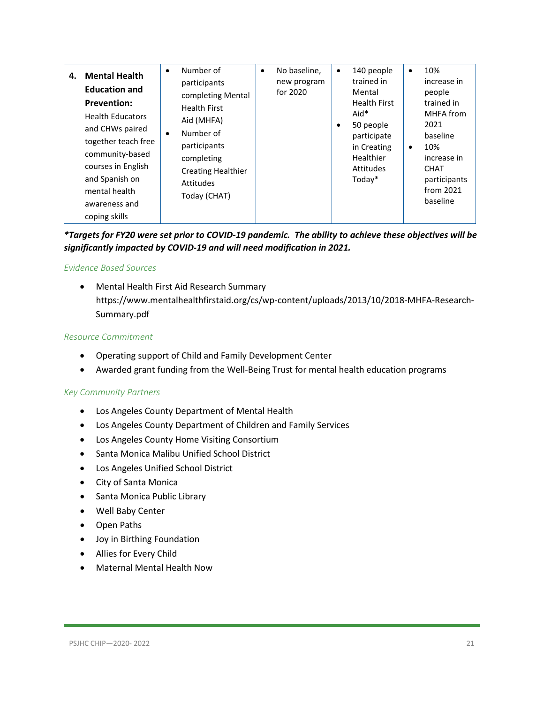| 4. | <b>Mental Health</b><br><b>Education and</b><br><b>Prevention:</b><br><b>Health Educators</b><br>and CHWs paired<br>together teach free<br>community-based<br>courses in English<br>and Spanish on<br>mental health<br>awareness and<br>coping skills | Number of<br>$\bullet$<br>participants<br>completing Mental<br><b>Health First</b><br>Aid (MHFA)<br>Number of<br>$\bullet$<br>participants<br>completing<br><b>Creating Healthier</b><br>Attitudes<br>Today (CHAT) | No baseline,<br>$\bullet$<br>new program<br>for 2020 | 140 people<br>$\bullet$<br>trained in<br>Mental<br><b>Health First</b><br>Aid*<br>50 people<br>٠<br>participate<br>in Creating<br>Healthier<br>Attitudes<br>$Today*$ | $\bullet$ | 10%<br>increase in<br>people<br>trained in<br>MHFA from<br>2021<br>baseline<br>10%<br>increase in<br><b>CHAT</b><br>participants<br>from 2021<br>baseline |
|----|-------------------------------------------------------------------------------------------------------------------------------------------------------------------------------------------------------------------------------------------------------|--------------------------------------------------------------------------------------------------------------------------------------------------------------------------------------------------------------------|------------------------------------------------------|----------------------------------------------------------------------------------------------------------------------------------------------------------------------|-----------|-----------------------------------------------------------------------------------------------------------------------------------------------------------|
|----|-------------------------------------------------------------------------------------------------------------------------------------------------------------------------------------------------------------------------------------------------------|--------------------------------------------------------------------------------------------------------------------------------------------------------------------------------------------------------------------|------------------------------------------------------|----------------------------------------------------------------------------------------------------------------------------------------------------------------------|-----------|-----------------------------------------------------------------------------------------------------------------------------------------------------------|

*\*Targets for FY20 were set prior to COVID-19 pandemic. The ability to achieve these objectives will be significantly impacted by COVID-19 and will need modification in 2021.*

#### *Evidence Based Sources*

• Mental Health First Aid Research Summary https://www.mentalhealthfirstaid.org/cs/wp-content/uploads/2013/10/2018-MHFA-Research-Summary.pdf

#### *Resource Commitment*

- Operating support of Child and Family Development Center
- Awarded grant funding from the Well-Being Trust for mental health education programs

#### *Key Community Partners*

- Los Angeles County Department of Mental Health
- Los Angeles County Department of Children and Family Services
- Los Angeles County Home Visiting Consortium
- Santa Monica Malibu Unified School District
- Los Angeles Unified School District
- City of Santa Monica
- Santa Monica Public Library
- Well Baby Center
- Open Paths
- Joy in Birthing Foundation
- Allies for Every Child
- Maternal Mental Health Now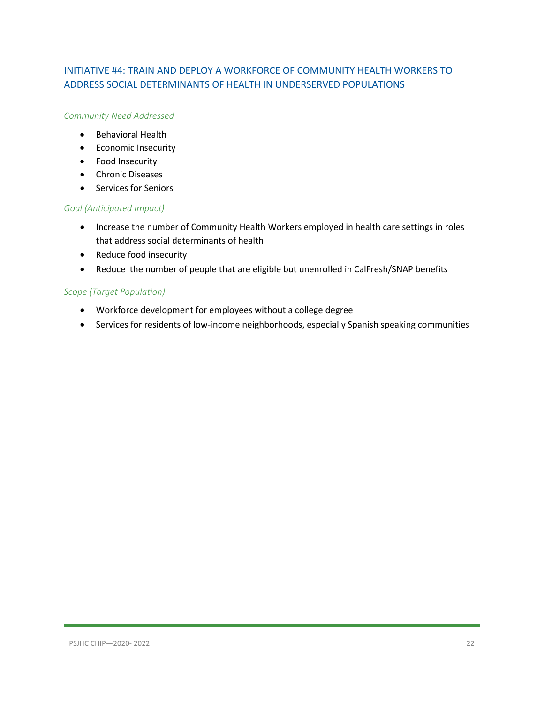#### <span id="page-21-0"></span>INITIATIVE #4: TRAIN AND DEPLOY A WORKFORCE OF COMMUNITY HEALTH WORKERS TO ADDRESS SOCIAL DETERMINANTS OF HEALTH IN UNDERSERVED POPULATIONS

#### *Community Need Addressed*

- Behavioral Health
- Economic Insecurity
- Food Insecurity
- Chronic Diseases
- Services for Seniors

#### *Goal (Anticipated Impact)*

- Increase the number of Community Health Workers employed in health care settings in roles that address social determinants of health
- Reduce food insecurity
- Reduce the number of people that are eligible but unenrolled in CalFresh/SNAP benefits

#### *Scope (Target Population)*

- Workforce development for employees without a college degree
- Services for residents of low-income neighborhoods, especially Spanish speaking communities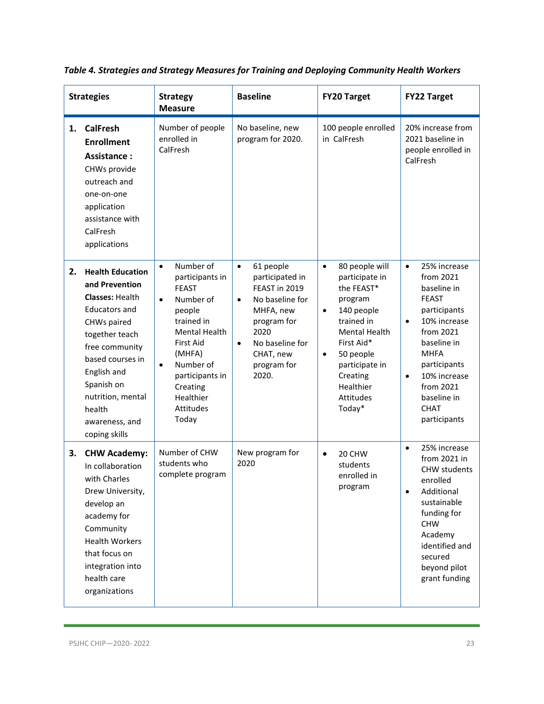|    | <b>Strategies</b>                                                                                                                                                                                                                                                 | <b>Strategy</b><br><b>Measure</b>                                                                                                                                                                                                               | <b>Baseline</b>                                                                                                                                                                                     | <b>FY20 Target</b>                                                                                                                                                                                                                                | <b>FY22 Target</b>                                                                                                                                                                                                                                                    |
|----|-------------------------------------------------------------------------------------------------------------------------------------------------------------------------------------------------------------------------------------------------------------------|-------------------------------------------------------------------------------------------------------------------------------------------------------------------------------------------------------------------------------------------------|-----------------------------------------------------------------------------------------------------------------------------------------------------------------------------------------------------|---------------------------------------------------------------------------------------------------------------------------------------------------------------------------------------------------------------------------------------------------|-----------------------------------------------------------------------------------------------------------------------------------------------------------------------------------------------------------------------------------------------------------------------|
| 1. | <b>CalFresh</b><br><b>Enrollment</b><br><b>Assistance:</b><br>CHWs provide<br>outreach and<br>one-on-one<br>application<br>assistance with<br>CalFresh<br>applications                                                                                            | Number of people<br>enrolled in<br>CalFresh                                                                                                                                                                                                     | No baseline, new<br>program for 2020.                                                                                                                                                               | 100 people enrolled<br>in CalFresh                                                                                                                                                                                                                | 20% increase from<br>2021 baseline in<br>people enrolled in<br>CalFresh                                                                                                                                                                                               |
| 2. | <b>Health Education</b><br>and Prevention<br><b>Classes: Health</b><br><b>Educators and</b><br>CHWs paired<br>together teach<br>free community<br>based courses in<br>English and<br>Spanish on<br>nutrition, mental<br>health<br>awareness, and<br>coping skills | Number of<br>$\bullet$<br>participants in<br><b>FEAST</b><br>Number of<br>$\bullet$<br>people<br>trained in<br>Mental Health<br>First Aid<br>(MHFA)<br>Number of<br>$\bullet$<br>participants in<br>Creating<br>Healthier<br>Attitudes<br>Today | $\bullet$<br>61 people<br>participated in<br>FEAST in 2019<br>No baseline for<br>$\bullet$<br>MHFA, new<br>program for<br>2020<br>No baseline for<br>$\bullet$<br>CHAT, new<br>program for<br>2020. | 80 people will<br>$\bullet$<br>participate in<br>the FEAST*<br>program<br>140 people<br>$\bullet$<br>trained in<br><b>Mental Health</b><br>First Aid*<br>50 people<br>$\bullet$<br>participate in<br>Creating<br>Healthier<br>Attitudes<br>Today* | 25% increase<br>$\bullet$<br>from 2021<br>baseline in<br><b>FEAST</b><br>participants<br>10% increase<br>$\bullet$<br>from 2021<br>baseline in<br><b>MHFA</b><br>participants<br>10% increase<br>$\bullet$<br>from 2021<br>baseline in<br><b>CHAT</b><br>participants |
| 3. | <b>CHW Academy:</b><br>In collaboration<br>with Charles<br>Drew University,<br>develop an<br>academy for<br>Community<br><b>Health Workers</b><br>that focus on<br>integration into<br>health care<br>organizations                                               | Number of CHW<br>students who<br>complete program                                                                                                                                                                                               | New program for<br>2020                                                                                                                                                                             | 20 CHW<br>$\bullet$<br>students<br>enrolled in<br>program                                                                                                                                                                                         | 25% increase<br>$\bullet$<br>from 2021 in<br><b>CHW</b> students<br>enrolled<br>Additional<br>$\bullet$<br>sustainable<br>funding for<br><b>CHW</b><br>Academy<br>identified and<br>secured<br>beyond pilot<br>grant funding                                          |

*Table 4. Strategies and Strategy Measures for Training and Deploying Community Health Workers*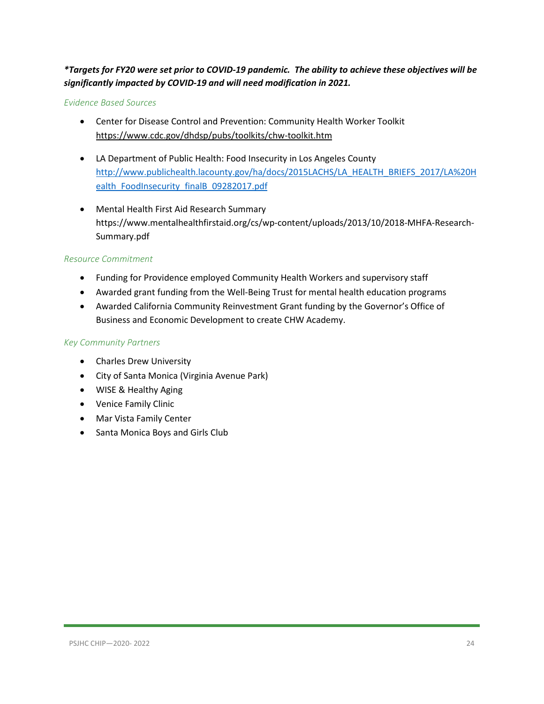#### *\*Targets for FY20 were set prior to COVID-19 pandemic. The ability to achieve these objectives will be significantly impacted by COVID-19 and will need modification in 2021.*

#### *Evidence Based Sources*

- Center for Disease Control and Prevention: Community Health Worker Toolkit <https://www.cdc.gov/dhdsp/pubs/toolkits/chw-toolkit.htm>
- LA Department of Public Health: Food Insecurity in Los Angeles County [http://www.publichealth.lacounty.gov/ha/docs/2015LACHS/LA\\_HEALTH\\_BRIEFS\\_2017/LA%20H](http://www.publichealth.lacounty.gov/ha/docs/2015LACHS/LA_HEALTH_BRIEFS_2017/LA%20Health_FoodInsecurity_finalB_09282017.pdf) [ealth\\_FoodInsecurity\\_finalB\\_09282017.pdf](http://www.publichealth.lacounty.gov/ha/docs/2015LACHS/LA_HEALTH_BRIEFS_2017/LA%20Health_FoodInsecurity_finalB_09282017.pdf)
- Mental Health First Aid Research Summary https://www.mentalhealthfirstaid.org/cs/wp-content/uploads/2013/10/2018-MHFA-Research-Summary.pdf

#### *Resource Commitment*

- Funding for Providence employed Community Health Workers and supervisory staff
- Awarded grant funding from the Well-Being Trust for mental health education programs
- Awarded California Community Reinvestment Grant funding by the Governor's Office of Business and Economic Development to create CHW Academy.

#### *Key Community Partners*

- Charles Drew University
- City of Santa Monica (Virginia Avenue Park)
- WISE & Healthy Aging
- Venice Family Clinic
- Mar Vista Family Center
- Santa Monica Boys and Girls Club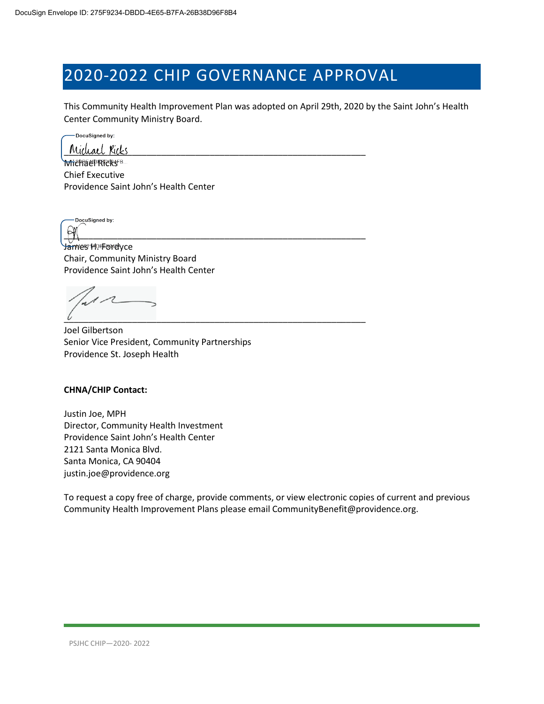# 2020-2022 CHIP GOVERNANCE APPROVAL

This Community Health Improvement Plan was adopted on April 29th, 2020 by the Saint John's Health Center Community Ministry Board.

DocuSigned by:

Michael Ricks

**Michaer RRRSFB.** Chief Executive Providence Saint John's Health Center

DocuSigned by: PX

James HPForelyce Chair, Community Ministry Board Providence Saint John's Health Center

 $\overline{\iota}$  , and the contract of the contract of the contract of the contract of the contract of the contract of the contract of the contract of the contract of the contract of the contract of the contract of the contract

Joel Gilbertson Senior Vice President, Community Partnerships Providence St. Joseph Health

#### **CHNA/CHIP Contact:**

Justin Joe, MPH Director, Community Health Investment Providence Saint John's Health Center 2121 Santa Monica Blvd. Santa Monica, CA 90404 justin.joe@providence.org

To request a copy free of charge, provide comments, or view electronic copies of current and previous Community Health Improvement Plans please email CommunityBenefit@providence.org.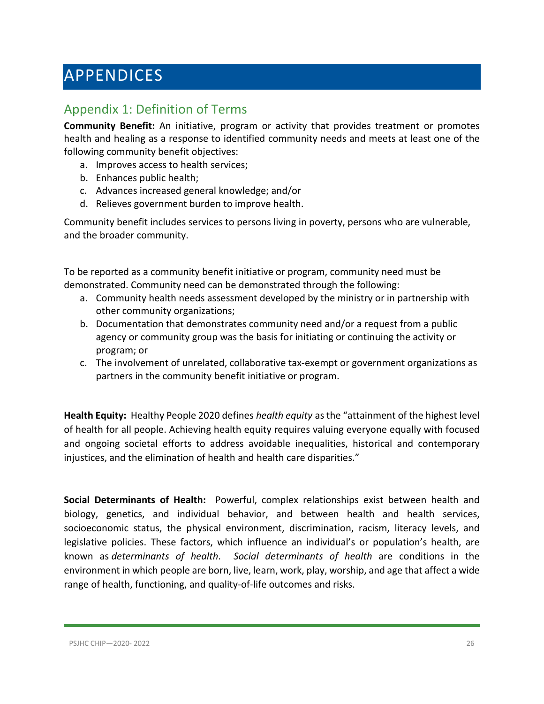# <span id="page-25-0"></span>APPENDICES

### <span id="page-25-1"></span>Appendix 1: Definition of Terms

**Community Benefit:** An initiative, program or activity that provides treatment or promotes health and healing as a response to identified community needs and meets at least one of the following community benefit objectives:

- a. Improves access to health services;
- b. Enhances public health;
- c. Advances increased general knowledge; and/or
- d. Relieves government burden to improve health.

Community benefit includes services to persons living in poverty, persons who are vulnerable, and the broader community.

To be reported as a community benefit initiative or program, community need must be demonstrated. Community need can be demonstrated through the following:

- a. Community health needs assessment developed by the ministry or in partnership with other community organizations;
- b. Documentation that demonstrates community need and/or a request from a public agency or community group was the basis for initiating or continuing the activity or program; or
- c. The involvement of unrelated, collaborative tax-exempt or government organizations as partners in the community benefit initiative or program.

**Health Equity:** Healthy People 2020 defines *health equity* as the "attainment of the highest level of health for all people. Achieving health equity requires valuing everyone equally with focused and ongoing societal efforts to address avoidable inequalities, historical and contemporary injustices, and the elimination of health and health care disparities."

**Social Determinants of Health:** Powerful, complex relationships exist between health and biology, genetics, and individual behavior, and between health and health services, socioeconomic status, the physical environment, discrimination, racism, literacy levels, and legislative policies. These factors, which influence an individual's or population's health, are known as *determinants of health*. *Social determinants of health* are conditions in the environment in which people are born, live, learn, work, play, worship, and age that affect a wide range of health, functioning, and quality-of-life outcomes and risks.